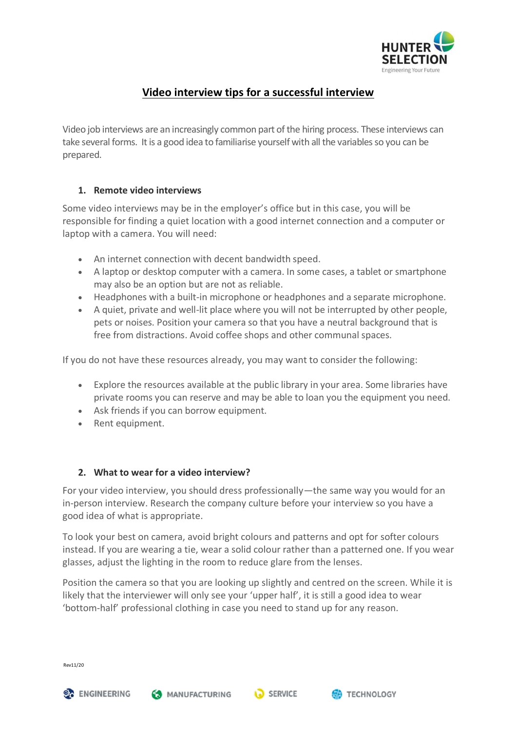

# **Video interview tips for a successful interview**

Video job interviews are an increasingly common part of the hiring process. These interviews can take several forms. Itis a good idea to familiarise yourself with all the variables so you can be prepared.

#### **1. Remote video interviews**

Some video interviews may be in the employer's office but in this case, you will be responsible for finding a quiet location with a good internet connection and a computer or laptop with a camera. You will need:

- An internet connection with decent bandwidth speed.
- A laptop or desktop computer with a camera. In some cases, a tablet or smartphone may also be an option but are not as reliable.
- Headphones with a built-in microphone or headphones and a separate microphone.
- A quiet, private and well-lit place where you will not be interrupted by other people, pets or noises. Position your camera so that you have a neutral background that is free from distractions. Avoid coffee shops and other communal spaces.

If you do not have these resources already, you may want to consider the following:

- Explore the resources available at the public library in your area. Some libraries have private rooms you can reserve and may be able to loan you the equipment you need.
- Ask friends if you can borrow equipment.
- Rent equipment.

#### **2. What to wear for a video interview?**

For your video interview, you should dress professionally—the same way you would for an in-person interview. Research the company culture before your interview so you have a good idea of what is appropriate.

To look your best on camera, avoid bright colours and patterns and opt for softer colours instead. If you are wearing a tie, wear a solid colour rather than a patterned one. If you wear glasses, adjust the lighting in the room to reduce glare from the lenses.

Position the camera so that you are looking up slightly and centred on the screen. While it is likely that the interviewer will only see your 'upper half', it is still a good idea to wear 'bottom-half' professional clothing in case you need to stand up for any reason.

Rev11/20

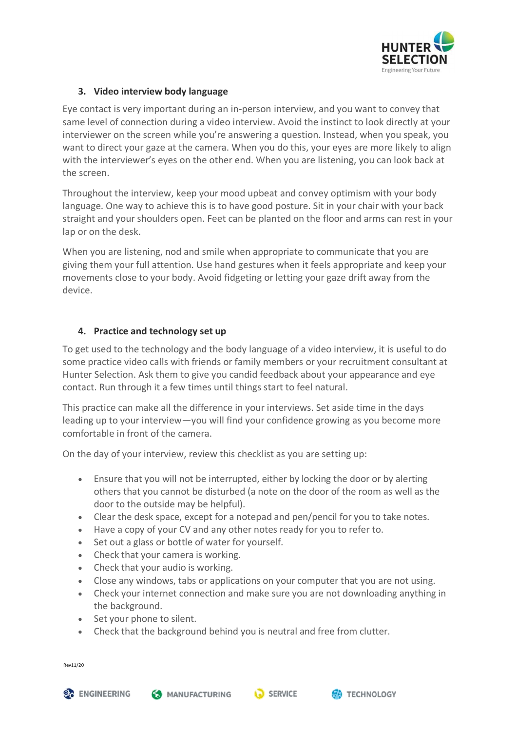

## **3. Video interview body language**

Eye contact is very important during an in-person interview, and you want to convey that same level of connection during a video interview. Avoid the instinct to look directly at your interviewer on the screen while you're answering a question. Instead, when you speak, you want to direct your gaze at the camera. When you do this, your eyes are more likely to align with the interviewer's eyes on the other end. When you are listening, you can look back at the screen.

Throughout the interview, keep your mood upbeat and convey optimism with your body language. One way to achieve this is to have good posture. Sit in your chair with your back straight and your shoulders open. Feet can be planted on the floor and arms can rest in your lap or on the desk.

When you are listening, nod and smile when appropriate to communicate that you are giving them your full attention. Use hand gestures when it feels appropriate and keep your movements close to your body. Avoid fidgeting or letting your gaze drift away from the device.

#### **4. Practice and technology set up**

To get used to the technology and the body language of a video interview, it is useful to do some practice video calls with friends or family members or your recruitment consultant at Hunter Selection. Ask them to give you candid feedback about your appearance and eye contact. Run through it a few times until things start to feel natural.

This practice can make all the difference in your interviews. Set aside time in the days leading up to your interview—you will find your confidence growing as you become more comfortable in front of the camera.

On the day of your interview, review this checklist as you are setting up:

- Ensure that you will not be interrupted, either by locking the door or by alerting others that you cannot be disturbed (a note on the door of the room as well as the door to the outside may be helpful).
- Clear the desk space, except for a notepad and pen/pencil for you to take notes.
- Have a copy of your CV and any other notes ready for you to refer to.
- Set out a glass or bottle of water for yourself.
- Check that your camera is working.
- Check that your audio is working.
- Close any windows, tabs or applications on your computer that you are not using.
- Check your internet connection and make sure you are not downloading anything in the background.
- Set your phone to silent.
- Check that the background behind you is neutral and free from clutter.

Rev11/20